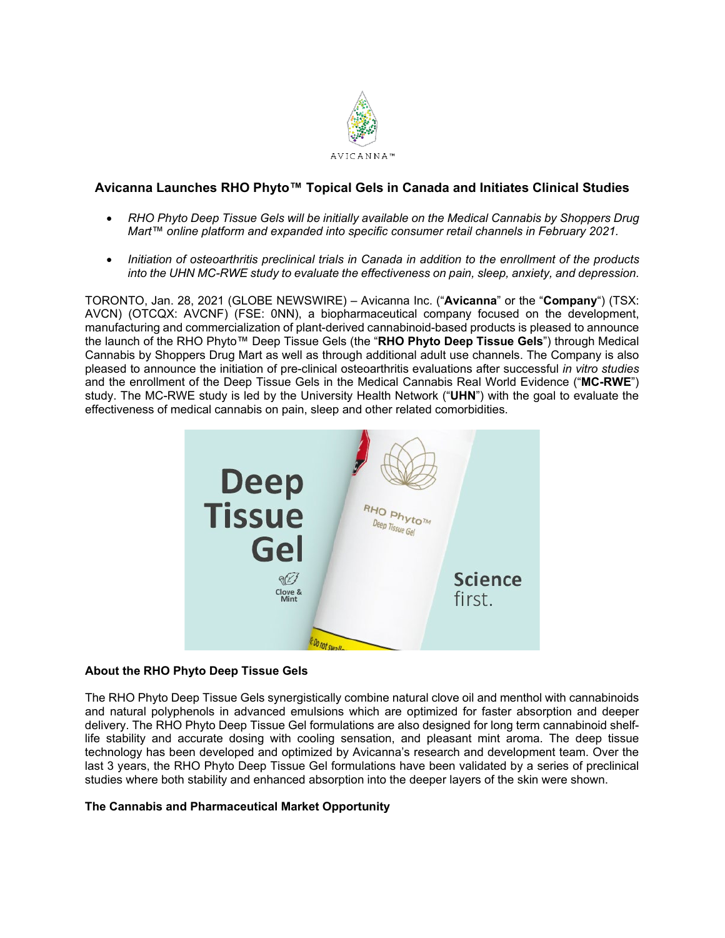

# **Avicanna Launches RHO Phyto™ Topical Gels in Canada and Initiates Clinical Studies**

- *RHO Phyto Deep Tissue Gels will be initially available on the Medical Cannabis by Shoppers Drug Mart™ online platform and expanded into specific consumer retail channels in February 2021.*
- *Initiation of osteoarthritis preclinical trials in Canada in addition to the enrollment of the products into the UHN MC-RWE study to evaluate the effectiveness on pain, sleep, anxiety, and depression.*

TORONTO, Jan. 28, 2021 (GLOBE NEWSWIRE) – Avicanna Inc. ("**Avicanna**" or the "**Company**") (TSX: AVCN) (OTCQX: AVCNF) (FSE: 0NN), a biopharmaceutical company focused on the development, manufacturing and commercialization of plant-derived cannabinoid-based products is pleased to announce the launch of the RHO Phyto™ Deep Tissue Gels (the "**RHO Phyto Deep Tissue Gels**") through Medical Cannabis by Shoppers Drug Mart as well as through additional adult use channels. The Company is also pleased to announce the initiation of pre-clinical osteoarthritis evaluations after successful *in vitro studies*  and the enrollment of the Deep Tissue Gels in the Medical Cannabis Real World Evidence ("**MC-RWE**") study. The MC-RWE study is led by the University Health Network ("**UHN**") with the goal to evaluate the effectiveness of medical cannabis on pain, sleep and other related comorbidities.



# **About the RHO Phyto Deep Tissue Gels**

The RHO Phyto Deep Tissue Gels synergistically combine natural clove oil and menthol with cannabinoids and natural polyphenols in advanced emulsions which are optimized for faster absorption and deeper delivery. The RHO Phyto Deep Tissue Gel formulations are also designed for long term cannabinoid shelflife stability and accurate dosing with cooling sensation, and pleasant mint aroma. The deep tissue technology has been developed and optimized by Avicanna's research and development team. Over the last 3 years, the RHO Phyto Deep Tissue Gel formulations have been validated by a series of preclinical studies where both stability and enhanced absorption into the deeper layers of the skin were shown.

## **The Cannabis and Pharmaceutical Market Opportunity**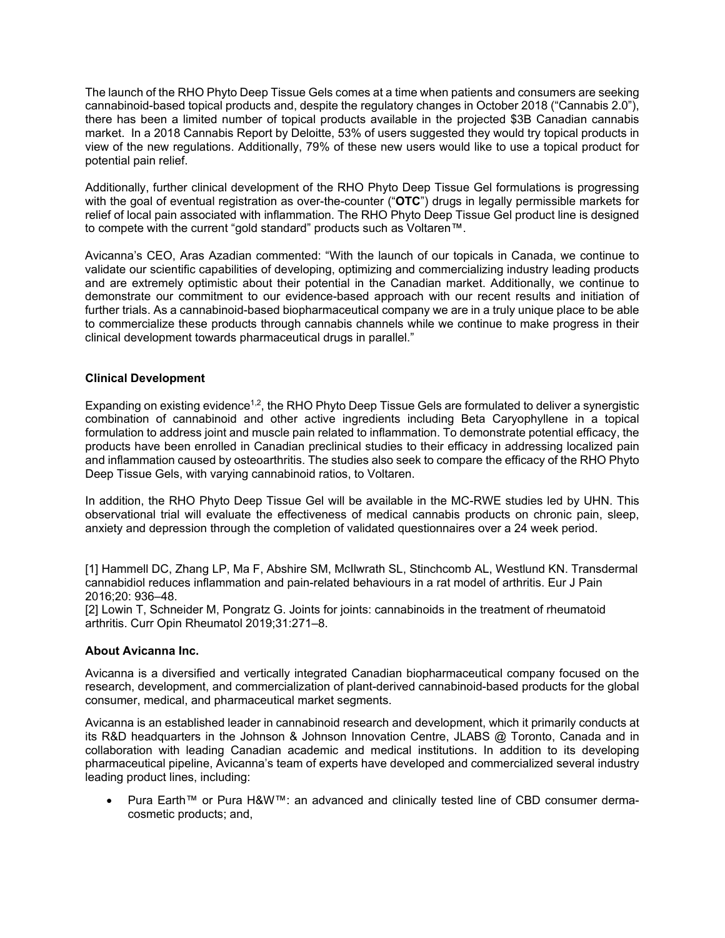The launch of the RHO Phyto Deep Tissue Gels comes at a time when patients and consumers are seeking cannabinoid-based topical products and, despite the regulatory changes in October 2018 ("Cannabis 2.0"), there has been a limited number of topical products available in the projected \$3B Canadian cannabis market. In a 2018 Cannabis Report by Deloitte, 53% of users suggested they would try topical products in view of the new regulations. Additionally, 79% of these new users would like to use a topical product for potential pain relief.

Additionally, further clinical development of the RHO Phyto Deep Tissue Gel formulations is progressing with the goal of eventual registration as over-the-counter ("**OTC**") drugs in legally permissible markets for relief of local pain associated with inflammation. The RHO Phyto Deep Tissue Gel product line is designed to compete with the current "gold standard" products such as Voltaren™.

Avicanna's CEO, Aras Azadian commented: "With the launch of our topicals in Canada, we continue to validate our scientific capabilities of developing, optimizing and commercializing industry leading products and are extremely optimistic about their potential in the Canadian market. Additionally, we continue to demonstrate our commitment to our evidence-based approach with our recent results and initiation of further trials. As a cannabinoid-based biopharmaceutical company we are in a truly unique place to be able to commercialize these products through cannabis channels while we continue to make progress in their clinical development towards pharmaceutical drugs in parallel."

# **Clinical Development**

Expanding on existing evidence<sup>1,2</sup>, the RHO Phyto Deep Tissue Gels are formulated to deliver a synergistic combination of cannabinoid and other active ingredients including Beta Caryophyllene in a topical formulation to address joint and muscle pain related to inflammation. To demonstrate potential efficacy, the products have been enrolled in Canadian preclinical studies to their efficacy in addressing localized pain and inflammation caused by osteoarthritis. The studies also seek to compare the efficacy of the RHO Phyto Deep Tissue Gels, with varying cannabinoid ratios, to Voltaren.

In addition, the RHO Phyto Deep Tissue Gel will be available in the MC-RWE studies led by UHN. This observational trial will evaluate the effectiveness of medical cannabis products on chronic pain, sleep, anxiety and depression through the completion of validated questionnaires over a 24 week period.

[1] Hammell DC, Zhang LP, Ma F, Abshire SM, McIlwrath SL, Stinchcomb AL, Westlund KN. Transdermal cannabidiol reduces inflammation and pain-related behaviours in a rat model of arthritis. Eur J Pain 2016;20: 936–48.

[2] Lowin T, Schneider M, Pongratz G. Joints for joints: cannabinoids in the treatment of rheumatoid arthritis. Curr Opin Rheumatol 2019;31:271–8.

## **About Avicanna Inc.**

Avicanna is a diversified and vertically integrated Canadian biopharmaceutical company focused on the research, development, and commercialization of plant-derived cannabinoid-based products for the global consumer, medical, and pharmaceutical market segments.

Avicanna is an established leader in cannabinoid research and development, which it primarily conducts at its R&D headquarters in the Johnson & Johnson Innovation Centre, JLABS @ Toronto, Canada and in collaboration with leading Canadian academic and medical institutions. In addition to its developing pharmaceutical pipeline, Avicanna's team of experts have developed and commercialized several industry leading product lines, including:

• Pura Earth™ or Pura H&W™: an advanced and clinically tested line of CBD consumer dermacosmetic products; and,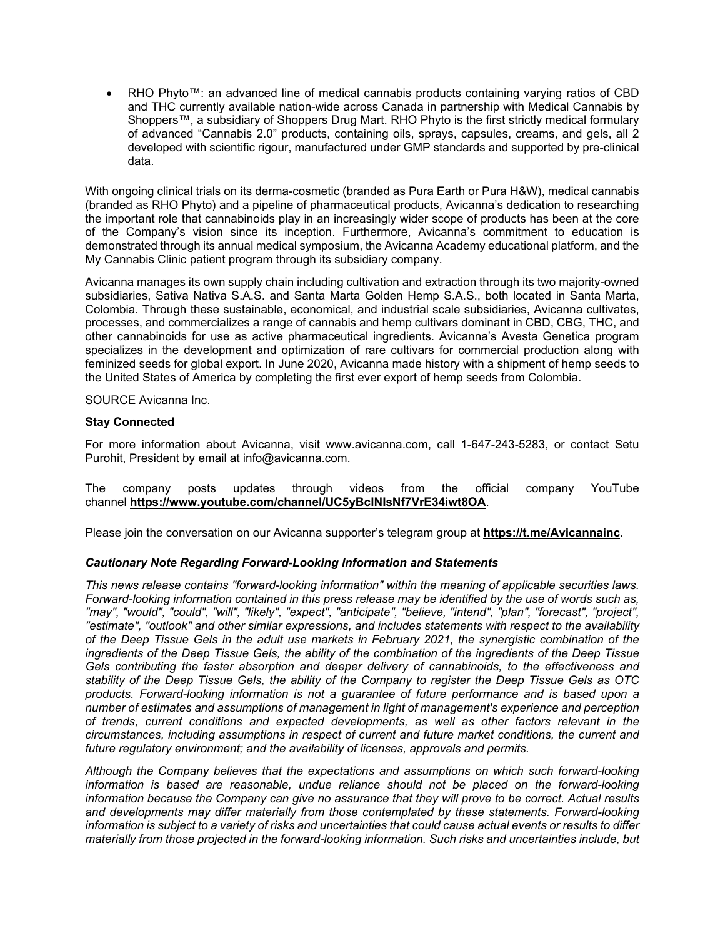• RHO Phyto™: an advanced line of medical cannabis products containing varying ratios of CBD and THC currently available nation-wide across Canada in partnership with Medical Cannabis by Shoppers™, a subsidiary of Shoppers Drug Mart. RHO Phyto is the first strictly medical formulary of advanced "Cannabis 2.0" products, containing oils, sprays, capsules, creams, and gels, all 2 developed with scientific rigour, manufactured under GMP standards and supported by pre-clinical data.

With ongoing clinical trials on its derma-cosmetic (branded as Pura Earth or Pura H&W), medical cannabis (branded as RHO Phyto) and a pipeline of pharmaceutical products, Avicanna's dedication to researching the important role that cannabinoids play in an increasingly wider scope of products has been at the core of the Company's vision since its inception. Furthermore, Avicanna's commitment to education is demonstrated through its annual medical symposium, the Avicanna Academy educational platform, and the My Cannabis Clinic patient program through its subsidiary company.

Avicanna manages its own supply chain including cultivation and extraction through its two majority-owned subsidiaries, Sativa Nativa S.A.S. and Santa Marta Golden Hemp S.A.S., both located in Santa Marta, Colombia. Through these sustainable, economical, and industrial scale subsidiaries, Avicanna cultivates, processes, and commercializes a range of cannabis and hemp cultivars dominant in CBD, CBG, THC, and other cannabinoids for use as active pharmaceutical ingredients. Avicanna's Avesta Genetica program specializes in the development and optimization of rare cultivars for commercial production along with feminized seeds for global export. In June 2020, Avicanna made history with a shipment of hemp seeds to the United States of America by completing the first ever export of hemp seeds from Colombia.

SOURCE Avicanna Inc.

#### **Stay Connected**

For more information about Avicanna, visit www.avicanna.com, call 1-647-243-5283, or contact Setu Purohit, President by email at info@avicanna.com.

The company posts updates through videos from the official company YouTube channel **[https://www.youtube.com/channel/UC5yBclNIsNf7VrE34iwt8OA](https://www.globenewswire.com/Tracker?data=Yc3ZROMyC7QpAY2_KXLCl2Rec6EZZXWfb9_EvDgjLIDN27Jkx10sicNV_dugNWMgLftrCb6wrsgWkK8OAEgXNuX_zhu4duEMDe7bw02Cu7iZOHH5e3oXvisxdofSRHuGYFLhQGT3CfOQLB4QDagBho3ogO-xLj2R6sDuxHTpBXYRSGJhYv7z8EeHge_VzRGw)**.

Please join the conversation on our Avicanna supporter's telegram group at **[https://t.me/Avicannainc](https://www.globenewswire.com/Tracker?data=Yc3ZROMyC7QpAY2_KXLClwZ-9P9ZklUgbhQGXzRApkSAE_FZjKINKG7butehjJU8SXRJn8BFwGBjsymUSubppdWw8SgOGqBabvJSPvSoizQ=)**.

## *Cautionary Note Regarding Forward-Looking Information and Statements*

*This news release contains "forward-looking information" within the meaning of applicable securities laws. Forward-looking information contained in this press release may be identified by the use of words such as, "may", "would", "could", "will", "likely", "expect", "anticipate", "believe, "intend", "plan", "forecast", "project", "estimate", "outlook" and other similar expressions, and includes statements with respect to the availability of the Deep Tissue Gels in the adult use markets in February 2021, the synergistic combination of the ingredients of the Deep Tissue Gels, the ability of the combination of the ingredients of the Deep Tissue Gels contributing the faster absorption and deeper delivery of cannabinoids, to the effectiveness and stability of the Deep Tissue Gels, the ability of the Company to register the Deep Tissue Gels as OTC products. Forward-looking information is not a guarantee of future performance and is based upon a number of estimates and assumptions of management in light of management's experience and perception of trends, current conditions and expected developments, as well as other factors relevant in the circumstances, including assumptions in respect of current and future market conditions, the current and future regulatory environment; and the availability of licenses, approvals and permits.*

*Although the Company believes that the expectations and assumptions on which such forward-looking information is based are reasonable, undue reliance should not be placed on the forward-looking information because the Company can give no assurance that they will prove to be correct. Actual results and developments may differ materially from those contemplated by these statements. Forward-looking information is subject to a variety of risks and uncertainties that could cause actual events or results to differ materially from those projected in the forward-looking information. Such risks and uncertainties include, but*